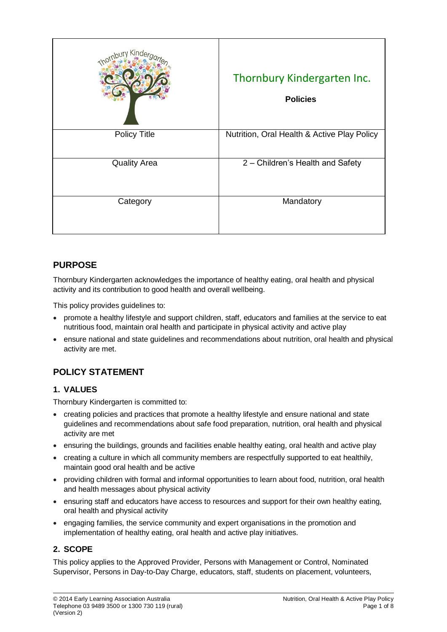| $\operatorname{Kind}$ | Thornbury Kindergarten Inc.<br><b>Policies</b> |
|-----------------------|------------------------------------------------|
| <b>Policy Title</b>   | Nutrition, Oral Health & Active Play Policy    |
| <b>Quality Area</b>   | 2 - Children's Health and Safety               |
| Category              | Mandatory                                      |

# **PURPOSE**

Thornbury Kindergarten acknowledges the importance of healthy eating, oral health and physical activity and its contribution to good health and overall wellbeing.

This policy provides guidelines to:

- promote a healthy lifestyle and support children, staff, educators and families at the service to eat nutritious food, maintain oral health and participate in physical activity and active play
- ensure national and state guidelines and recommendations about nutrition, oral health and physical activity are met.

# **POLICY STATEMENT**

## **1. VALUES**

Thornbury Kindergarten is committed to:

- creating policies and practices that promote a healthy lifestyle and ensure national and state guidelines and recommendations about safe food preparation, nutrition, oral health and physical activity are met
- ensuring the buildings, grounds and facilities enable healthy eating, oral health and active play
- creating a culture in which all community members are respectfully supported to eat healthily, maintain good oral health and be active
- providing children with formal and informal opportunities to learn about food, nutrition, oral health and health messages about physical activity
- ensuring staff and educators have access to resources and support for their own healthy eating, oral health and physical activity
- engaging families, the service community and expert organisations in the promotion and implementation of healthy eating, oral health and active play initiatives.

## **2. SCOPE**

This policy applies to the Approved Provider, Persons with Management or Control, Nominated Supervisor, Persons in Day-to-Day Charge, educators, staff, students on placement, volunteers,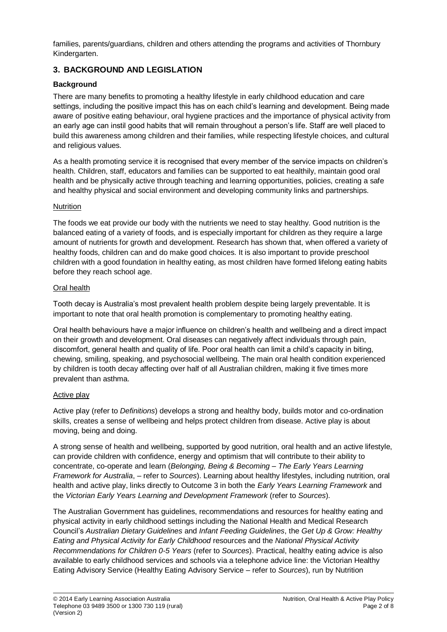families, parents/guardians, children and others attending the programs and activities of Thornbury Kindergarten.

## **3. BACKGROUND AND LEGISLATION**

## **Background**

There are many benefits to promoting a healthy lifestyle in early childhood education and care settings, including the positive impact this has on each child's learning and development. Being made aware of positive eating behaviour, oral hygiene practices and the importance of physical activity from an early age can instil good habits that will remain throughout a person's life. Staff are well placed to build this awareness among children and their families, while respecting lifestyle choices, and cultural and religious values.

As a health promoting service it is recognised that every member of the service impacts on children's health. Children, staff, educators and families can be supported to eat healthily, maintain good oral health and be physically active through teaching and learning opportunities, policies, creating a safe and healthy physical and social environment and developing community links and partnerships.

### **Nutrition**

The foods we eat provide our body with the nutrients we need to stay healthy. Good nutrition is the balanced eating of a variety of foods, and is especially important for children as they require a large amount of nutrients for growth and development. Research has shown that, when offered a variety of healthy foods, children can and do make good choices. It is also important to provide preschool children with a good foundation in healthy eating, as most children have formed lifelong eating habits before they reach school age.

### Oral health

Tooth decay is Australia's most prevalent health problem despite being largely preventable. It is important to note that oral health promotion is complementary to promoting healthy eating.

Oral health behaviours have a major influence on children's health and wellbeing and a direct impact on their growth and development. Oral diseases can negatively affect individuals through pain, discomfort, general health and quality of life. Poor oral health can limit a child's capacity in biting, chewing, smiling, speaking, and psychosocial wellbeing. The main oral health condition experienced by children is tooth decay affecting over half of all Australian children, making it five times more prevalent than asthma.

### Active play

Active play (refer to *Definitions*) develops a strong and healthy body, builds motor and co-ordination skills, creates a sense of wellbeing and helps protect children from disease. Active play is about moving, being and doing.

A strong sense of health and wellbeing, supported by good nutrition, oral health and an active lifestyle, can provide children with confidence, energy and optimism that will contribute to their ability to concentrate, co-operate and learn (*Belonging, Being & Becoming – The Early Years Learning Framework for Australia*, – refer to *Sources*). Learning about healthy lifestyles, including nutrition, oral health and active play, links directly to Outcome 3 in both the *Early Years Learning Framework* and the *Victorian Early Years Learning and Development Framework* (refer to *Sources*).

The Australian Government has guidelines, recommendations and resources for healthy eating and physical activity in early childhood settings including the National Health and Medical Research Council's *Australian Dietary Guidelines* and *Infant Feeding Guidelines*, the *Get Up & Grow: Healthy Eating and Physical Activity for Early Childhood* resources and the *National Physical Activity Recommendations for Children 0-5 Years* (refer to *Sources*). Practical, healthy eating advice is also available to early childhood services and schools via a telephone advice line: the Victorian Healthy Eating Advisory Service (Healthy Eating Advisory Service – refer to *Sources*), run by Nutrition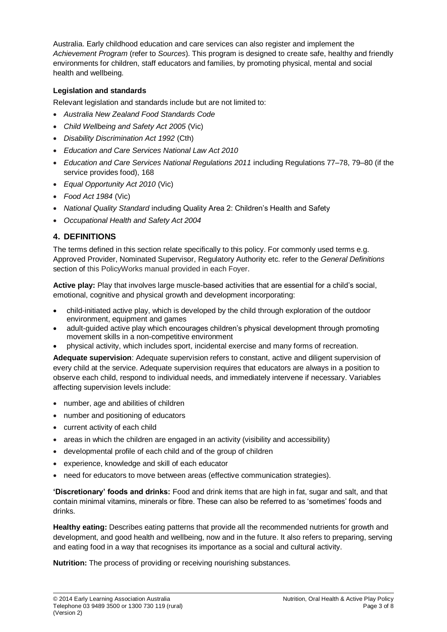Australia. Early childhood education and care services can also register and implement the *Achievement Program* (refer to *Sources*). This program is designed to create safe, healthy and friendly environments for children, staff educators and families, by promoting physical, mental and social health and wellbeing.

## **Legislation and standards**

Relevant legislation and standards include but are not limited to:

- *Australia New Zealand Food Standards Code*
- *Child Wellbeing and Safety Act 2005* (Vic)
- *Disability Discrimination Act 1992* (Cth)
- *Education and Care Services National Law Act 2010*
- *Education and Care Services National Regulations 2011* including Regulations 77–78, 79–80 (if the service provides food), 168
- *Equal Opportunity Act 2010* (Vic)
- *Food Act 1984* (Vic)
- *National Quality Standard* including Quality Area 2: Children's Health and Safety
- *Occupational Health and Safety Act 2004*

## **4. DEFINITIONS**

The terms defined in this section relate specifically to this policy. For commonly used terms e.g. Approved Provider, Nominated Supervisor, Regulatory Authority etc. refer to the *General Definitions* section of this PolicyWorks manual provided in each Foyer.

Active play: Play that involves large muscle-based activities that are essential for a child's social, emotional, cognitive and physical growth and development incorporating:

- child-initiated active play, which is developed by the child through exploration of the outdoor environment, equipment and games
- adult-guided active play which encourages children's physical development through promoting movement skills in a non-competitive environment
- physical activity, which includes sport, incidental exercise and many forms of recreation.

**Adequate supervision**: Adequate supervision refers to constant, active and diligent supervision of every child at the service. Adequate supervision requires that educators are always in a position to observe each child, respond to individual needs, and immediately intervene if necessary. Variables affecting supervision levels include:

- number, age and abilities of children
- number and positioning of educators
- current activity of each child
- areas in which the children are engaged in an activity (visibility and accessibility)
- developmental profile of each child and of the group of children
- experience, knowledge and skill of each educator
- need for educators to move between areas (effective communication strategies).

**'Discretionary' foods and drinks:** Food and drink items that are high in fat, sugar and salt, and that contain minimal vitamins, minerals or fibre. These can also be referred to as 'sometimes' foods and drinks.

**Healthy eating:** Describes eating patterns that provide all the recommended nutrients for growth and development, and good health and wellbeing, now and in the future. It also refers to preparing, serving and eating food in a way that recognises its importance as a social and cultural activity.

**Nutrition:** The process of providing or receiving nourishing substances.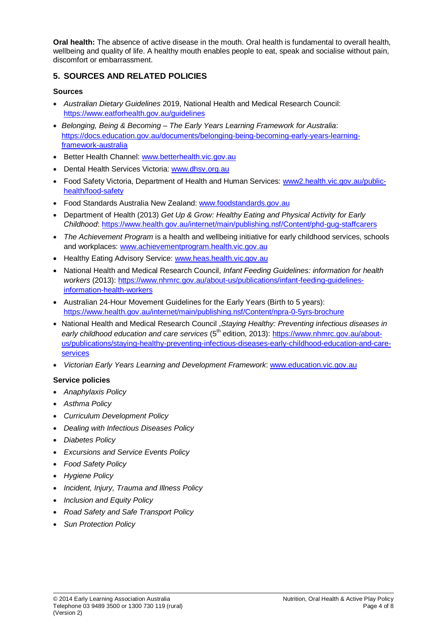**Oral health:** The absence of active disease in the mouth. Oral health is fundamental to overall health, wellbeing and quality of life. A healthy mouth enables people to eat, speak and socialise without pain, discomfort or embarrassment.

## **5. SOURCES AND RELATED POLICIES**

## **Sources**

- *Australian Dietary Guidelines* 2019, National Health and Medical Research Council: <https://www.eatforhealth.gov.au/guidelines>
- *Belonging, Being & Becoming – The Early Years Learning Framework for Australia*: [https://docs.education.gov.au/documents/belonging-being-becoming-early-years-learning](https://docs.education.gov.au/documents/belonging-being-becoming-early-years-learning-framework-australia)[framework-australia](https://docs.education.gov.au/documents/belonging-being-becoming-early-years-learning-framework-australia)
- Better Health Channel: [www.betterhealth.vic.gov.au](http://www.betterhealth.vic.gov.au/)
- Dental Health Services Victoria: [www.dhsv.org.au](http://www.dhsv.org.au/)
- Food Safety Victoria, Department of Health and Human Services: [www2.health.vic.gov.au/public](https://www2.health.vic.gov.au/public-health/food-safety)[health/food-safety](https://www2.health.vic.gov.au/public-health/food-safety)
- Food Standards Australia New Zealand: [www.foodstandards.gov.au](http://www.foodstandards.gov.au/)
- Department of Health (2013) *Get Up & Grow: Healthy Eating and Physical Activity for Early Childhood*:<https://www.health.gov.au/internet/main/publishing.nsf/Content/phd-gug-staffcarers>
- *The Achievement Program* is a health and wellbeing initiative for early childhood services, schools and workplaces: [www.achievementprogram.health.vic.gov.au](http://www.achievementprogram.health.vic.gov.au/)
- Healthy Eating Advisory Service: [www.heas.health.vic.gov.au](http://heas.health.vic.gov.au/)
- National Health and Medical Research Council, *Infant Feeding Guidelines: information for health workers* (2013): [https://www.nhmrc.gov.au/about-us/publications/infant-feeding-guidelines](https://www.nhmrc.gov.au/about-us/publications/infant-feeding-guidelines-information-health-workers)[information-health-workers](https://www.nhmrc.gov.au/about-us/publications/infant-feeding-guidelines-information-health-workers)
- Australian 24-Hour Movement Guidelines for the Early Years (Birth to 5 years): <https://www.health.gov.au/internet/main/publishing.nsf/Content/npra-0-5yrs-brochure>
- National Health and Medical Research Council *,Staying Healthy: Preventing infectious diseases in early childhood education and care services* (5<sup>th</sup> edition, 2013): [https://www.nhmrc.gov.au/about](https://www.nhmrc.gov.au/about-us/publications/staying-healthy-preventing-infectious-diseases-early-childhood-education-and-care-services)[us/publications/staying-healthy-preventing-infectious-diseases-early-childhood-education-and-care](https://www.nhmrc.gov.au/about-us/publications/staying-healthy-preventing-infectious-diseases-early-childhood-education-and-care-services)[services](https://www.nhmrc.gov.au/about-us/publications/staying-healthy-preventing-infectious-diseases-early-childhood-education-and-care-services)
- *Victorian Early Years Learning and Development Framework*[: www.education.vic.gov.au](http://www.education.vic.gov.au/Pages/default.aspx)

## **Service policies**

- *Anaphylaxis Policy*
- *Asthma Policy*
- *Curriculum Development Policy*
- *Dealing with Infectious Diseases Policy*
- *Diabetes Policy*
- *Excursions and Service Events Policy*
- *Food Safety Policy*
- *Hygiene Policy*
- *Incident, Injury, Trauma and Illness Policy*
- *Inclusion and Equity Policy*
- *Road Safety and Safe Transport Policy*
- *Sun Protection Policy*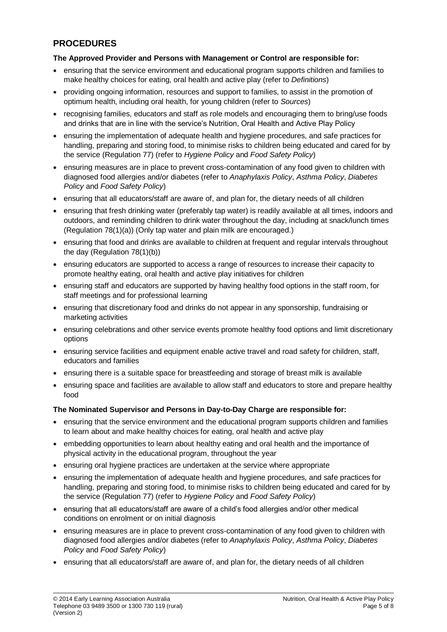# **PROCEDURES**

### **The Approved Provider and Persons with Management or Control are responsible for:**

- ensuring that the service environment and educational program supports children and families to make healthy choices for eating, oral health and active play (refer to *Definitions*)
- providing ongoing information, resources and support to families, to assist in the promotion of optimum health, including oral health, for young children (refer to *Sources*)
- recognising families, educators and staff as role models and encouraging them to bring/use foods and drinks that are in line with the service's Nutrition, Oral Health and Active Play Policy
- ensuring the implementation of adequate health and hygiene procedures, and safe practices for handling, preparing and storing food, to minimise risks to children being educated and cared for by the service (Regulation 77) (refer to *Hygiene Policy* and *Food Safety Policy*)
- ensuring measures are in place to prevent cross-contamination of any food given to children with diagnosed food allergies and/or diabetes (refer to *Anaphylaxis Policy*, *Asthma Policy*, *Diabetes Policy* and *Food Safety Policy*)
- ensuring that all educators/staff are aware of, and plan for, the dietary needs of all children
- ensuring that fresh drinking water (preferably tap water) is readily available at all times, indoors and outdoors, and reminding children to drink water throughout the day, including at snack/lunch times (Regulation 78(1)(a)) (Only tap water and plain milk are encouraged.)
- ensuring that food and drinks are available to children at frequent and regular intervals throughout the day (Regulation 78(1)(b))
- ensuring educators are supported to access a range of resources to increase their capacity to promote healthy eating, oral health and active play initiatives for children
- ensuring staff and educators are supported by having healthy food options in the staff room, for staff meetings and for professional learning
- ensuring that discretionary food and drinks do not appear in any sponsorship, fundraising or marketing activities
- ensuring celebrations and other service events promote healthy food options and limit discretionary options
- ensuring service facilities and equipment enable active travel and road safety for children, staff, educators and families
- ensuring there is a suitable space for breastfeeding and storage of breast milk is available
- ensuring space and facilities are available to allow staff and educators to store and prepare healthy food

### **The Nominated Supervisor and Persons in Day-to-Day Charge are responsible for:**

- ensuring that the service environment and the educational program supports children and families to learn about and make healthy choices for eating, oral health and active play
- embedding opportunities to learn about healthy eating and oral health and the importance of physical activity in the educational program, throughout the year
- ensuring oral hygiene practices are undertaken at the service where appropriate
- ensuring the implementation of adequate health and hygiene procedures, and safe practices for handling, preparing and storing food, to minimise risks to children being educated and cared for by the service (Regulation 77) (refer to *Hygiene Policy* and *Food Safety Policy*)
- ensuring that all educators/staff are aware of a child's food allergies and/or other medical conditions on enrolment or on initial diagnosis
- ensuring measures are in place to prevent cross-contamination of any food given to children with diagnosed food allergies and/or diabetes (refer to *Anaphylaxis Policy*, *Asthma Policy*, *Diabetes Policy* and *Food Safety Policy*)
- ensuring that all educators/staff are aware of, and plan for, the dietary needs of all children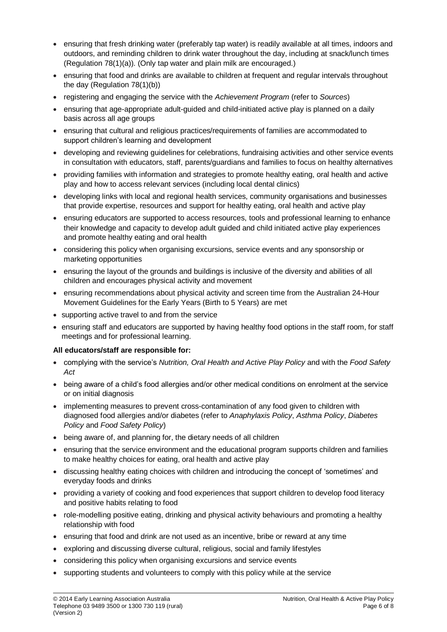- ensuring that fresh drinking water (preferably tap water) is readily available at all times, indoors and outdoors, and reminding children to drink water throughout the day, including at snack/lunch times (Regulation 78(1)(a)). (Only tap water and plain milk are encouraged.)
- ensuring that food and drinks are available to children at frequent and regular intervals throughout the day (Regulation 78(1)(b))
- registering and engaging the service with the *Achievement Program* (refer to *Sources*)
- ensuring that age-appropriate adult-guided and child-initiated active play is planned on a daily basis across all age groups
- ensuring that cultural and religious practices/requirements of families are accommodated to support children's learning and development
- developing and reviewing guidelines for celebrations, fundraising activities and other service events in consultation with educators, staff, parents/guardians and families to focus on healthy alternatives
- providing families with information and strategies to promote healthy eating, oral health and active play and how to access relevant services (including local dental clinics)
- developing links with local and regional health services, community organisations and businesses that provide expertise, resources and support for healthy eating, oral health and active play
- ensuring educators are supported to access resources, tools and professional learning to enhance their knowledge and capacity to develop adult guided and child initiated active play experiences and promote healthy eating and oral health
- considering this policy when organising excursions, service events and any sponsorship or marketing opportunities
- ensuring the layout of the grounds and buildings is inclusive of the diversity and abilities of all children and encourages physical activity and movement
- ensuring recommendations about physical activity and screen time from the Australian 24-Hour Movement Guidelines for the Early Years (Birth to 5 Years) are met
- supporting active travel to and from the service
- ensuring staff and educators are supported by having healthy food options in the staff room, for staff meetings and for professional learning.

### **All educators/staff are responsible for:**

- complying with the service's *Nutrition, Oral Health and Active Play Policy* and with the *Food Safety Act*
- being aware of a child's food allergies and/or other medical conditions on enrolment at the service or on initial diagnosis
- implementing measures to prevent cross-contamination of any food given to children with diagnosed food allergies and/or diabetes (refer to *Anaphylaxis Policy*, *Asthma Policy*, *Diabetes Policy* and *Food Safety Policy*)
- being aware of, and planning for, the dietary needs of all children
- ensuring that the service environment and the educational program supports children and families to make healthy choices for eating, oral health and active play
- discussing healthy eating choices with children and introducing the concept of 'sometimes' and everyday foods and drinks
- providing a variety of cooking and food experiences that support children to develop food literacy and positive habits relating to food
- role-modelling positive eating, drinking and physical activity behaviours and promoting a healthy relationship with food
- ensuring that food and drink are not used as an incentive, bribe or reward at any time
- exploring and discussing diverse cultural, religious, social and family lifestyles
- considering this policy when organising excursions and service events
- supporting students and volunteers to comply with this policy while at the service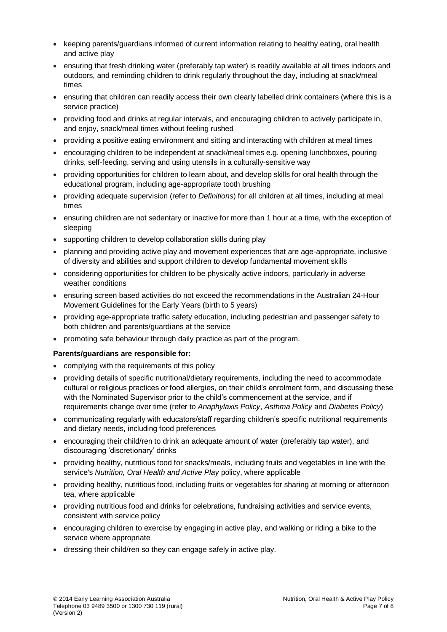- keeping parents/guardians informed of current information relating to healthy eating, oral health and active play
- ensuring that fresh drinking water (preferably tap water) is readily available at all times indoors and outdoors, and reminding children to drink regularly throughout the day, including at snack/meal times
- ensuring that children can readily access their own clearly labelled drink containers (where this is a service practice)
- providing food and drinks at regular intervals, and encouraging children to actively participate in, and enjoy, snack/meal times without feeling rushed
- providing a positive eating environment and sitting and interacting with children at meal times
- encouraging children to be independent at snack/meal times e.g. opening lunchboxes, pouring drinks, self-feeding, serving and using utensils in a culturally-sensitive way
- providing opportunities for children to learn about, and develop skills for oral health through the educational program, including age-appropriate tooth brushing
- providing adequate supervision (refer to *Definitions*) for all children at all times, including at meal times
- ensuring children are not sedentary or inactive for more than 1 hour at a time, with the exception of sleeping
- supporting children to develop collaboration skills during play
- planning and providing active play and movement experiences that are age-appropriate, inclusive of diversity and abilities and support children to develop fundamental movement skills
- considering opportunities for children to be physically active indoors, particularly in adverse weather conditions
- ensuring screen based activities do not exceed the recommendations in the Australian 24-Hour Movement Guidelines for the Early Years (birth to 5 years)
- providing age-appropriate traffic safety education, including pedestrian and passenger safety to both children and parents/guardians at the service
- promoting safe behaviour through daily practice as part of the program.

### **Parents/guardians are responsible for:**

- complying with the requirements of this policy
- providing details of specific nutritional/dietary requirements, including the need to accommodate cultural or religious practices or food allergies, on their child's enrolment form, and discussing these with the Nominated Supervisor prior to the child's commencement at the service, and if requirements change over time (refer to *Anaphylaxis Policy*, *Asthma Policy* and *Diabetes Policy*)
- communicating regularly with educators/staff regarding children's specific nutritional requirements and dietary needs, including food preferences
- encouraging their child/ren to drink an adequate amount of water (preferably tap water), and discouraging 'discretionary' drinks
- providing healthy, nutritious food for snacks/meals, including fruits and vegetables in line with the service's *Nutrition, Oral Health and Active Play* policy, where applicable
- providing healthy, nutritious food, including fruits or vegetables for sharing at morning or afternoon tea, where applicable
- providing nutritious food and drinks for celebrations, fundraising activities and service events, consistent with service policy
- encouraging children to exercise by engaging in active play, and walking or riding a bike to the service where appropriate
- dressing their child/ren so they can engage safely in active play.